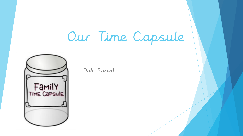## Our Time Capsule



Date Buried……………………………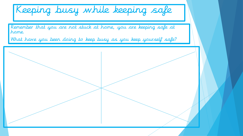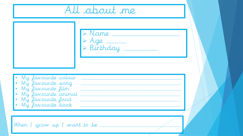All about me > Name<br>> Age<br>> Birthday My favourite colour My favourite song My favourite film<br>My favourite animal My favourite food My favourite book \_\_\_\_\_\_\_\_\_\_\_\_ When I grow up I want to be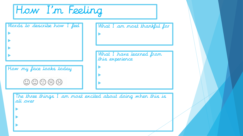How I'm Feeling

 $\blacktriangleright$ 

 $\blacktriangleright$ 

| Words to describe how I feel                                | What I am most thankful for                                 |
|-------------------------------------------------------------|-------------------------------------------------------------|
|                                                             |                                                             |
|                                                             | What I have learned from<br>this experience                 |
| How my face looks today                                     |                                                             |
| $\circledcirc$ $\circledcirc$ $\circledcirc$ $\circledcirc$ |                                                             |
| all over                                                    | The three things I am most excited about doing when this is |
|                                                             |                                                             |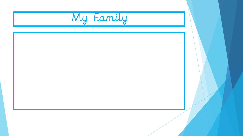My Family

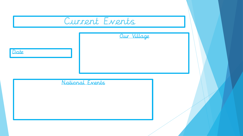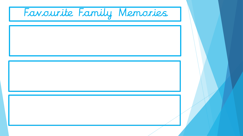Favourite Family Memories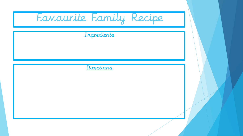| Favourite Family Recipe |  |
|-------------------------|--|
| Ingredients             |  |
|                         |  |
| Directions              |  |
|                         |  |
|                         |  |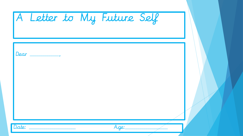|       | A Letter to My Future Self |  |
|-------|----------------------------|--|
| Dear  |                            |  |
|       |                            |  |
| Date: | Age:                       |  |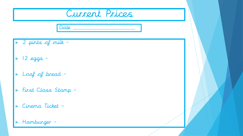